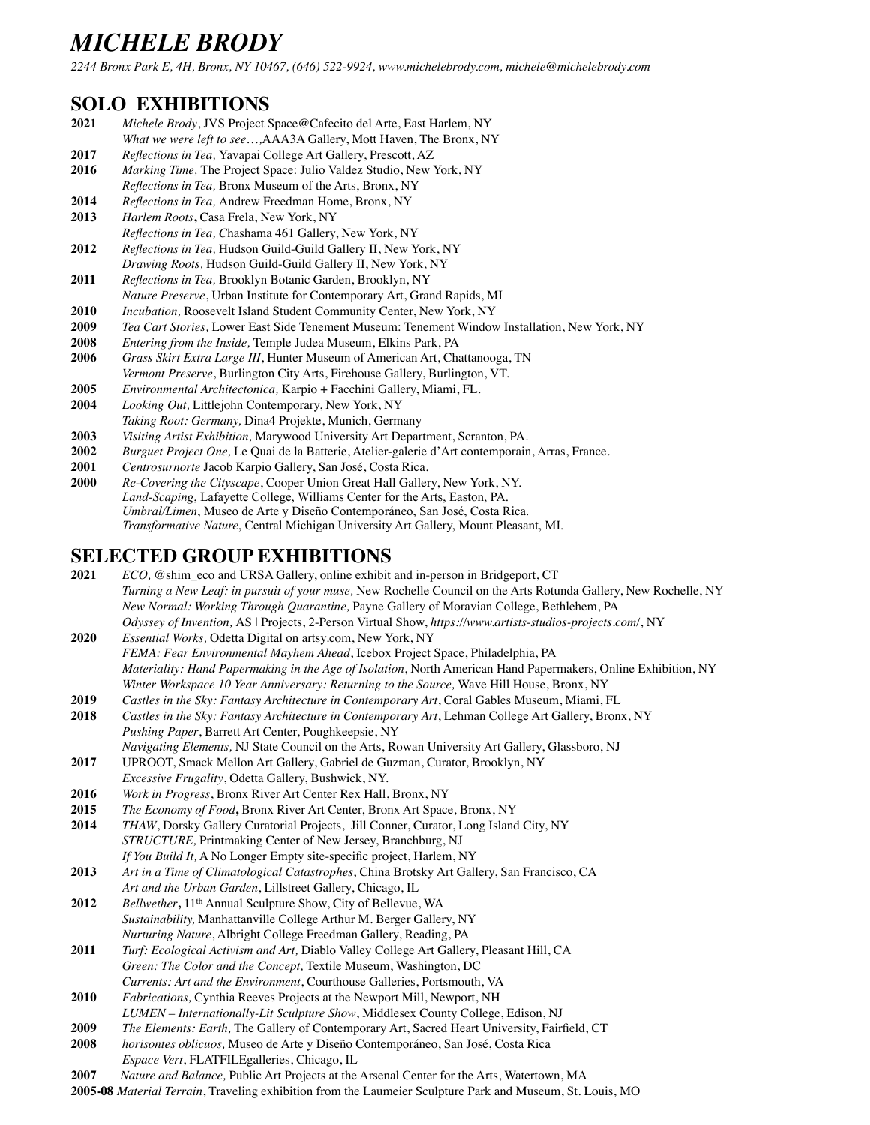*2244 Bronx Park E, 4H, Bronx, NY 10467, (646) 522-9924, [www.michelebrody.com,](http://www.michelebrody.com) [michele@michelebrody.com](mailto:michele@michelebrody.com)*

### **SOLO EXHIBITIONS**

- **2021** *Michele Brody*, JVS Project Space@Cafecito del Arte, East Harlem, NY
- *What we were left to see*…*,*AAA3A Gallery, Mott Haven, The Bronx, NY
- **2017** *Reflections in Tea,* Yavapai College Art Gallery, Prescott, AZ
- **2016** *Marking Time,* The Project Space: Julio Valdez Studio, New York, NY
- *Reflections in Tea,* Bronx Museum of the Arts, Bronx, NY
- **2014** *Reflections in Tea,* Andrew Freedman Home, Bronx, NY
- 2013 *Harlem Roots*, Casa Frela, New York, NY
- *Reflections in Tea, C*hashama 461 Gallery, New York, NY
- **2012** *Reflections in Tea,* Hudson Guild-Guild Gallery II, New York, NY *Drawing Roots,* Hudson Guild-Guild Gallery II, New York, NY
- **2011** *Reflections in Tea,* Brooklyn Botanic Garden, Brooklyn, NY
- *Nature Preserve*, Urban Institute for Contemporary Art, Grand Rapids, MI
- **2010** *Incubation,* Roosevelt Island Student Community Center, New York, NY
- **2009** *Tea Cart Stories,* Lower East Side Tenement Museum: Tenement Window Installation, New York, NY
- **2008** *Entering from the Inside,* Temple Judea Museum, Elkins Park, PA
- **2006** *Grass Skirt Extra Large III*, Hunter Museum of American Art, Chattanooga, TN
- *Vermont Preserve*, Burlington City Arts, Firehouse Gallery, Burlington, VT.
- **2005** *Environmental Architectonica,* Karpio + Facchini Gallery, Miami, FL.
- **2004** *Looking Out,* Littlejohn Contemporary, New York, NY *Taking Root: Germany,* Dina4 Projekte, Munich, Germany
- **2003** *Visiting Artist Exhibition,* Marywood University Art Department, Scranton, PA.
- **2002** *Burguet Project One,* Le Quai de la Batterie, Atelier-galerie d'Art contemporain, Arras, France.
- **2001** *Centrosurnorte* Jacob Karpio Gallery, San José, Costa Rica.
- **2000** *Re-Covering the Cityscape*, Cooper Union Great Hall Gallery, New York, NY. *Land-Scaping*, Lafayette College, Williams Center for the Arts, Easton, PA. *Umbral/Limen*, Museo de Arte y Diseño Contemporáneo, San José, Costa Rica. *Transformative Nature*, Central Michigan University Art Gallery, Mount Pleasant, MI.

### **SELECTED GROUP EXHIBITIONS**

- **2021** *ECO,* @shim\_eco and URSA Gallery, online exhibit and in-person in Bridgeport, CT *Turning a New Leaf: in pursuit of your muse,* New Rochelle Council on the Arts Rotunda Gallery, New Rochelle, NY *New Normal: Working Through Quarantine,* Payne Gallery of Moravian College, Bethlehem, PA *[Odyssey of Invention,](https://www.artists-studios-projects.com/?ct=t%28What%27s+up+for+2018%21_COPY_01%29)* AS | Projects, 2-Person Virtual Show, *<https://www.artists-studios-projects.com/>*, NY
- **2020** *Essential Works,* Odetta Digital on [artsy.com,](http://artsy.com) New York, NY *FEMA: Fear Environmental Mayhem Ahead*, Icebox Project Space, Philadelphia, PA *Materiality: Hand Papermaking in the Age of Isolation*, North American Hand Papermakers, Online Exhibition, NY *Winter Workspace 10 Year Anniversary: Returning to the Source,* Wave Hill House, Bronx, NY
- **2019** *Castles in the Sky: Fantasy Architecture in Contemporary Art*, Coral Gables Museum, Miami, FL
- **2018** *Castles in the Sky: Fantasy Architecture in Contemporary Art*, Lehman College Art Gallery, Bronx, NY *Pushing Paper*, Barrett Art Center, Poughkeepsie, NY *Navigating Elements,* NJ State Council on the Arts, Rowan University Art Gallery, Glassboro, NJ
- **2017** UPROOT, Smack Mellon Art Gallery, Gabriel de Guzman, Curator, Brooklyn, NY *Excessive Frugality*, Odetta Gallery, Bushwick, NY.
- **2016** *Work in Progress*, Bronx River Art Center Rex Hall, Bronx, NY
- **2015** *The Economy of Food***,** Bronx River Art Center, Bronx Art Space, Bronx, NY
- **2014** *THAW*, Dorsky Gallery Curatorial Projects, Jill Conner, Curator, Long Island City, NY *STRUCTURE,* Printmaking Center of New Jersey, Branchburg, NJ *If You Build It,* A No Longer Empty site-specific project, Harlem, NY
- **2013** *Art in a Time of Climatological Catastrophes*, China Brotsky Art Gallery, San Francisco, CA *Art and the Urban Garden*, Lillstreet Gallery, Chicago, IL
- **2012** *Bellwether***,** 11th Annual Sculpture Show, City of Bellevue, WA *Sustainability,* Manhattanville College Arthur M. Berger Gallery, NY *Nurturing Nature*, Albright College Freedman Gallery, Reading, PA
- **2011** *Turf: Ecological Activism and Art,* Diablo Valley College Art Gallery, Pleasant Hill, CA *Green: The Color and the Concept,* Textile Museum, Washington, DC *Currents: Art and the Environment*, Courthouse Galleries, Portsmouth, VA
- **2010** *Fabrications,* Cynthia Reeves Projects at the Newport Mill, Newport, NH *LUMEN – Internationally-Lit Sculpture Show*, Middlesex County College, Edison, NJ
- **2009** *The Elements: Earth,* The Gallery of Contemporary Art, Sacred Heart University, Fairfield, CT
- **2008** *horisontes oblicuos,* Museo de Arte y Diseño Contemporáneo, San José, Costa Rica *Espace Vert*, FLATFILEgalleries, Chicago, IL
- **2007** *Nature and Balance,* Public Art Projects at the Arsenal Center for the Arts, Watertown, MA
- **2005-08** *Material Terrain*, Traveling exhibition from the Laumeier Sculpture Park and Museum, St. Louis, MO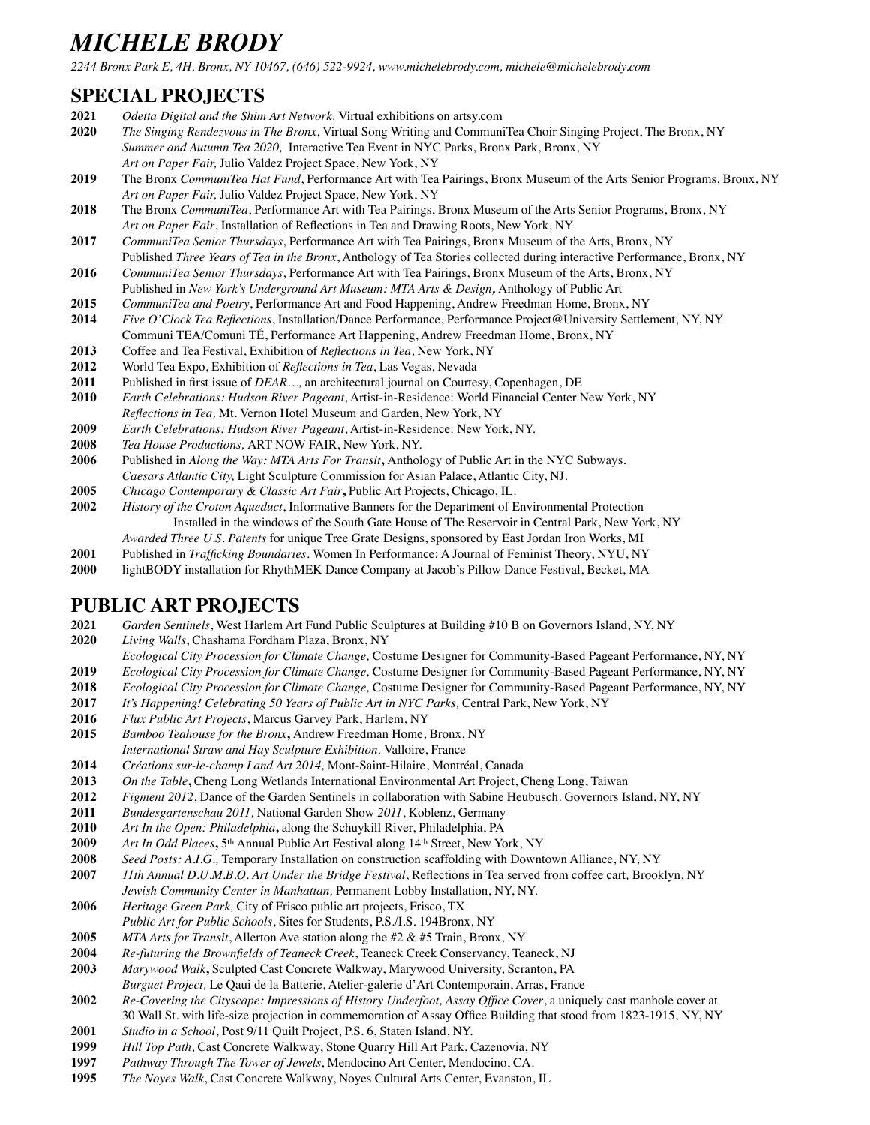*2244 Bronx Park E, 4H, Bronx, NY 10467, (646) 522-9924, [www.michelebrody.com,](http://www.michelebrody.com) [michele@michelebrody.com](mailto:michele@michelebrody.com)*

### **SPECIAL PROJECTS**

- *Odetta Digital and the Shim Art Network,* Virtual exhibitions on artsy.com
- *The Singing Rendezvous in The Bronx*, Virtual Song Writing and CommuniTea Choir Singing Project, The Bronx, NY *Summer and Autumn Tea 2020,* Interactive Tea Event in NYC Parks, Bronx Park, Bronx, NY *Art on Paper Fair,* Julio Valdez Project Space, New York, NY
- The Bronx *CommuniTea Hat Fund*, Performance Art with Tea Pairings, Bronx Museum of the Arts Senior Programs, Bronx, NY *Art on Paper Fair,* Julio Valdez Project Space, New York, NY
- The Bronx *CommuniTea*, Performance Art with Tea Pairings, Bronx Museum of the Arts Senior Programs, Bronx, NY *Art on Paper Fair*, Installation of Reflections in Tea and Drawing Roots, New York, NY
- *CommuniTea Senior Thursdays*, Performance Art with Tea Pairings, Bronx Museum of the Arts, Bronx, NY Published *Three Years of Tea in the Bronx*, Anthology of Tea Stories collected during interactive Performance, Bronx, NY
- *CommuniTea Senior Thursdays*, Performance Art with Tea Pairings, Bronx Museum of the Arts, Bronx, NY
- Published in *New York's Underground Art Museum: MTA Arts & Design,* Anthology of Public Art *CommuniTea and Poetry*, Performance Art and Food Happening, Andrew Freedman Home, Bronx, NY
- *Five O'Clock Tea Reflections*, Installation/Dance Performance, Performance Project@University Settlement, NY, NY Communi TEA/Comuni TÉ, Performance Art Happening, Andrew Freedman Home, Bronx, NY
- Coffee and Tea Festival, Exhibition of *Reflections in Tea*, New York, NY
- World Tea Expo, Exhibition of *Reflections in Tea*, Las Vegas, Nevada
- Published in first issue of *DEAR…,* an architectural journal on Courtesy, Copenhagen, DE
- *Earth Celebrations: Hudson River Pageant*, Artist-in-Residence: World Financial Center New York, NY
- *Reflections in Tea,* Mt. Vernon Hotel Museum and Garden, New York, NY
- *Earth Celebrations: Hudson River Pageant*, Artist-in-Residence: New York, NY.
- *Tea House Productions,* ART NOW FAIR, New York, NY.
- Published in *Along the Way: MTA Arts For Transit***,** Anthology of Public Art in the NYC Subways.
- *Caesars Atlantic City,* Light Sculpture Commission for Asian Palace, Atlantic City, NJ.
- **2005** *Chicago Contemporary & Classic Art Fair***,** Public Art Projects, Chicago, IL.<br>**2002** *History of the Croton Aqueduct*. Informative Banners for the Department of E
- *History of the Croton Aqueduct*, Informative Banners for the Department of Environmental Protection Installed in the windows of the South Gate House of The Reservoir in Central Park, New York, NY
- *Awarded Three U.S. Patents* for unique Tree Grate Designs, sponsored by East Jordan Iron Works, MI
- Published in *Trafficking Boundaries.* Women In Performance: A Journal of Feminist Theory, NYU, NY
- lightBODY installation for RhythMEK Dance Company at Jacob's Pillow Dance Festival, Becket, MA

#### **PUBLIC ART PROJECTS**

- *Garden Sentinels*, West Harlem Art Fund Public Sculptures at Building #10 B on Governors Island, NY, NY
- *Living Walls*, Chashama Fordham Plaza, Bronx, NY
- *Ecological City Procession for Climate Change,* Costume Designer for Community-Based Pageant Performance, NY, NY
- *Ecological City Procession for Climate Change,* Costume Designer for Community-Based Pageant Performance, NY, NY
- *Ecological City Procession for Climate Change,* Costume Designer for Community-Based Pageant Performance, NY, NY
- *It's Happening! Celebrating 50 Years of Public Art in NYC Parks,* Central Park, New York, NY
- *Flux Public Art Projects*, Marcus Garvey Park, Harlem, NY
- *Bamboo Teahouse for the Bronx***,** Andrew Freedman Home, Bronx, NY
- *International Straw and Hay Sculpture Exhibition,* Valloire, France
- *Créations sur-le-champ Land Art 2014,* Mont-Saint-Hilaire, Montréal, Canada
- *On the Table***,** Cheng Long Wetlands International Environmental Art Project, Cheng Long, Taiwan
- *Figment 2012*, Dance of the Garden Sentinels in collaboration with Sabine Heubusch. Governors Island, NY, NY
- *Bundesgartenschau 2011,* National Garden Show *2011*, Koblenz, Germany
- *Art In the Open: Philadelphia***,** along the Schuykill River, Philadelphia, PA
- **2009** *Art In Odd Places*, 5<sup>th</sup> Annual Public Art Festival along 14<sup>th</sup> Street, New York, NY
- *Seed Posts: A.I.G.,* Temporary Installation on construction scaffolding with Downtown Alliance, NY, NY
- *11th Annual D.U.M.B.O. Art Under the Bridge Festival*, Reflections in Tea served from coffee cart*,* Brooklyn, NY
- *Jewish Community Center in Manhattan,* Permanent Lobby Installation, NY, NY.
- *Heritage Green Park,* City of Frisco public art projects, Frisco, TX *Public Art for Public Schools*, Sites for Students, P.S./I.S. 194Bronx, NY
- *MTA Arts for Transit*, Allerton Ave station along the #2 & #5 Train, Bronx, NY
- *Re-futuring the Brownfields of Teaneck Creek*, Teaneck Creek Conservancy, Teaneck, NJ
- *Marywood Walk***,** Sculpted Cast Concrete Walkway, Marywood University, Scranton, PA
- *Burguet Project,* Le Qaui de la Batterie, Atelier-galerie d'Art Contemporain, Arras, France
- *Re-Covering the Cityscape: Impressions of History Underfoot, Assay Office Cover*, a uniquely cast manhole cover at 30 Wall St. with life-size projection in commemoration of Assay Office Building that stood from 1823-1915, NY, NY
- *Studio in a School*, Post 9/11 Quilt Project, P.S. 6, Staten Island, NY.
- *Hill Top Path*, Cast Concrete Walkway, Stone Quarry Hill Art Park, Cazenovia, NY
- *Pathway Through The Tower of Jewels*, Mendocino Art Center, Mendocino, CA.
- *The Noyes Walk*, Cast Concrete Walkway, Noyes Cultural Arts Center, Evanston, IL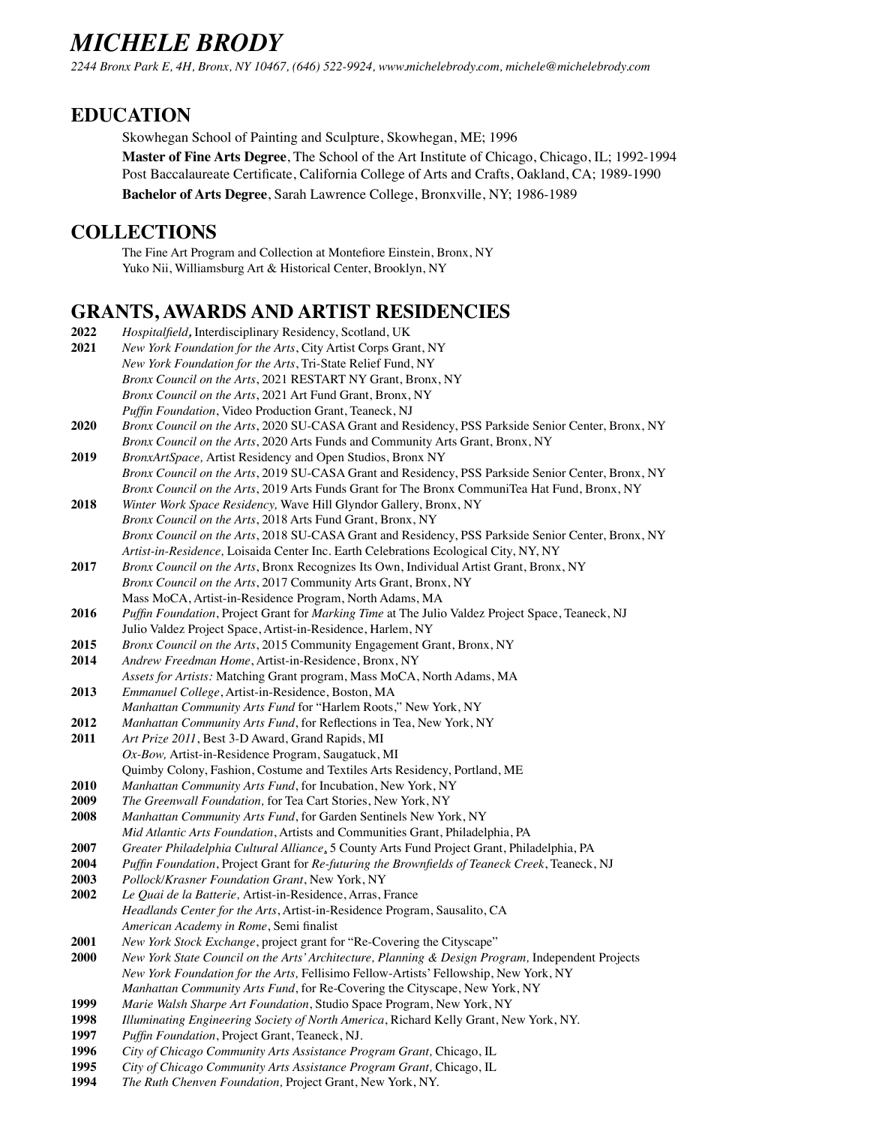*2244 Bronx Park E, 4H, Bronx, NY 10467, (646) 522-9924, [www.michelebrody.com,](http://www.michelebrody.com) [michele@michelebrody.com](mailto:michele@michelebrody.com)*

### **EDUCATION**

Skowhegan School of Painting and Sculpture, Skowhegan, ME; 1996 **Master of Fine Arts Degree**, The School of the Art Institute of Chicago, Chicago, IL; 1992-1994 Post Baccalaureate Certificate, California College of Arts and Crafts, Oakland, CA; 1989-1990 **Bachelor of Arts Degree**, Sarah Lawrence College, Bronxville, NY; 1986-1989

### **COLLECTIONS**

The Fine Art Program and Collection at Montefiore Einstein, Bronx, NY Yuko Nii, Williamsburg Art & Historical Center, Brooklyn, NY

#### **GRANTS, AWARDS AND ARTIST RESIDENCIES**

| 2022        | Hospitalfield, Interdisciplinary Residency, Scotland, UK                                           |
|-------------|----------------------------------------------------------------------------------------------------|
| 2021        | New York Foundation for the Arts, City Artist Corps Grant, NY                                      |
|             | New York Foundation for the Arts, Tri-State Relief Fund, NY                                        |
|             | Bronx Council on the Arts, 2021 RESTART NY Grant, Bronx, NY                                        |
|             | Bronx Council on the Arts, 2021 Art Fund Grant, Bronx, NY                                          |
|             | Puffin Foundation, Video Production Grant, Teaneck, NJ                                             |
| 2020        | Bronx Council on the Arts, 2020 SU-CASA Grant and Residency, PSS Parkside Senior Center, Bronx, NY |
|             | Bronx Council on the Arts, 2020 Arts Funds and Community Arts Grant, Bronx, NY                     |
| 2019        | BronxArtSpace, Artist Residency and Open Studios, Bronx NY                                         |
|             | Bronx Council on the Arts, 2019 SU-CASA Grant and Residency, PSS Parkside Senior Center, Bronx, NY |
|             | Bronx Council on the Arts, 2019 Arts Funds Grant for The Bronx CommuniTea Hat Fund, Bronx, NY      |
| 2018        | Winter Work Space Residency, Wave Hill Glyndor Gallery, Bronx, NY                                  |
|             | Bronx Council on the Arts, 2018 Arts Fund Grant, Bronx, NY                                         |
|             | Bronx Council on the Arts, 2018 SU-CASA Grant and Residency, PSS Parkside Senior Center, Bronx, NY |
|             | Artist-in-Residence, Loisaida Center Inc. Earth Celebrations Ecological City, NY, NY               |
| 2017        | Bronx Council on the Arts, Bronx Recognizes Its Own, Individual Artist Grant, Bronx, NY            |
|             | Bronx Council on the Arts, 2017 Community Arts Grant, Bronx, NY                                    |
|             | Mass MoCA, Artist-in-Residence Program, North Adams, MA                                            |
| 2016        | Puffin Foundation, Project Grant for Marking Time at The Julio Valdez Project Space, Teaneck, NJ   |
|             | Julio Valdez Project Space, Artist-in-Residence, Harlem, NY                                        |
| 2015        | Bronx Council on the Arts, 2015 Community Engagement Grant, Bronx, NY                              |
| 2014        | Andrew Freedman Home, Artist-in-Residence, Bronx, NY                                               |
|             | Assets for Artists: Matching Grant program, Mass MoCA, North Adams, MA                             |
| 2013        | Emmanuel College, Artist-in-Residence, Boston, MA                                                  |
|             | Manhattan Community Arts Fund for "Harlem Roots," New York, NY                                     |
| 2012        | Manhattan Community Arts Fund, for Reflections in Tea, New York, NY                                |
| 2011        | Art Prize 2011, Best 3-D Award, Grand Rapids, MI                                                   |
|             | Ox-Bow, Artist-in-Residence Program, Saugatuck, MI                                                 |
|             | Quimby Colony, Fashion, Costume and Textiles Arts Residency, Portland, ME                          |
| 2010        | Manhattan Community Arts Fund, for Incubation, New York, NY                                        |
| 2009        | The Greenwall Foundation, for Tea Cart Stories, New York, NY                                       |
| 2008        | Manhattan Community Arts Fund, for Garden Sentinels New York, NY                                   |
|             | Mid Atlantic Arts Foundation, Artists and Communities Grant, Philadelphia, PA                      |
| 2007        | Greater Philadelphia Cultural Alliance, 5 County Arts Fund Project Grant, Philadelphia, PA         |
| 2004        | Puffin Foundation, Project Grant for Re-futuring the Brownfields of Teaneck Creek, Teaneck, NJ     |
| 2003        | Pollock/Krasner Foundation Grant, New York, NY                                                     |
| 2002        | Le Quai de la Batterie, Artist-in-Residence, Arras, France                                         |
|             | Headlands Center for the Arts, Artist-in-Residence Program, Sausalito, CA                          |
|             | American Academy in Rome, Semi finalist                                                            |
| <b>2001</b> | New York Stock Exchange, project grant for "Re-Covering the Cityscape"                             |
| 2000        | New York State Council on the Arts' Architecture, Planning & Design Program, Independent Projects  |
|             | New York Foundation for the Arts, Fellisimo Fellow-Artists' Fellowship, New York, NY               |
|             | Manhattan Community Arts Fund, for Re-Covering the Cityscape, New York, NY                         |
| 1999        | Marie Walsh Sharpe Art Foundation, Studio Space Program, New York, NY                              |
| 1998        | Illuminating Engineering Society of North America, Richard Kelly Grant, New York, NY.              |
| 1997        | Puffin Foundation, Project Grant, Teaneck, NJ.                                                     |
| 1996        | City of Chicago Community Arts Assistance Program Grant, Chicago, IL                               |
| 1995        | City of Chicago Community Arts Assistance Program Grant, Chicago, IL                               |

**1994** *The Ruth Chenven Foundation,* Project Grant, New York, NY.